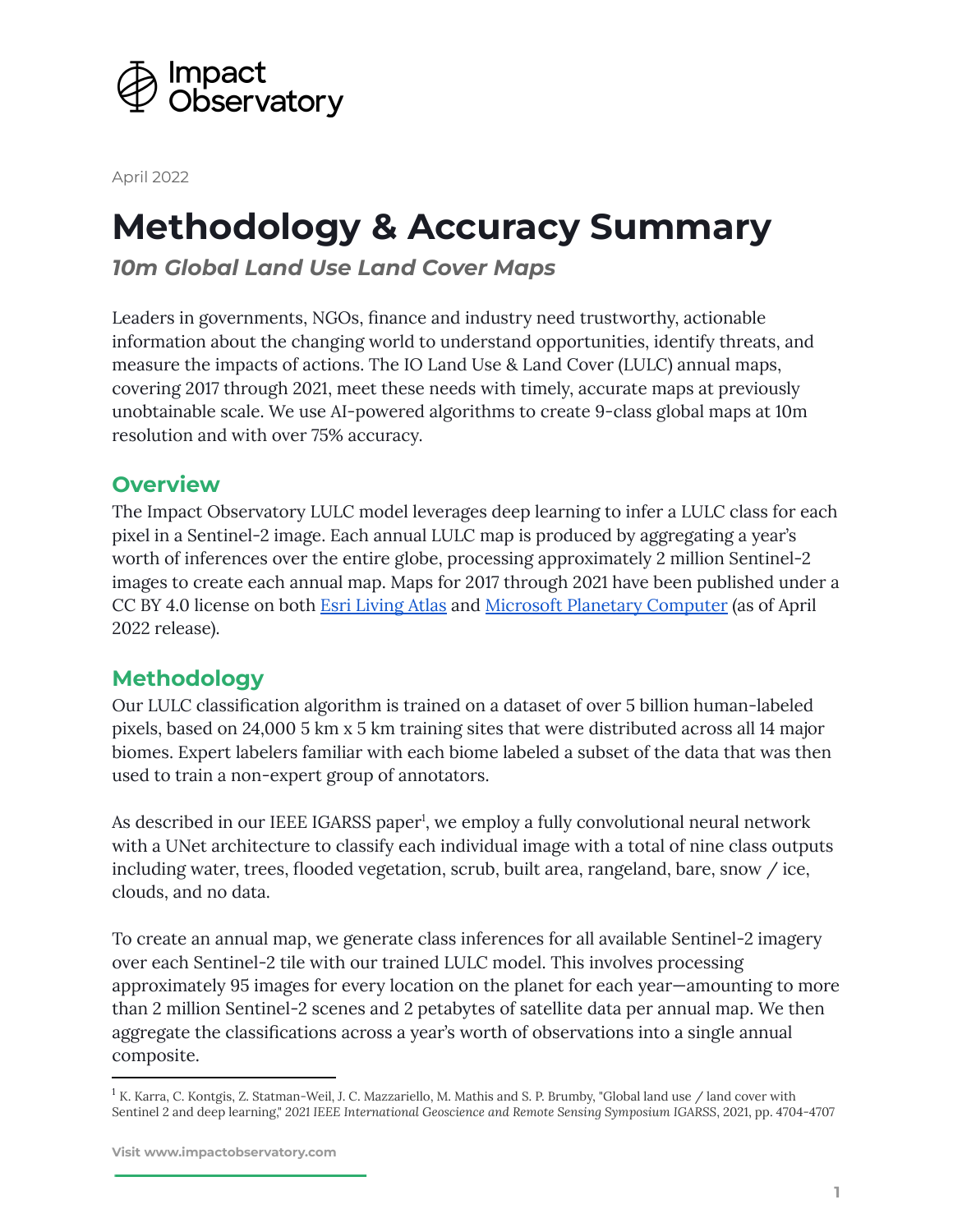

April 2022

# **Methodology & Accuracy Summary**

*10m Global Land Use Land Cover Maps*

Leaders in governments, NGOs, finance and industry need trustworthy, actionable information about the changing world to understand opportunities, identify threats, and measure the impacts of actions. The IO Land Use & Land Cover (LULC) annual maps, covering 2017 through 2021, meet these needs with timely, accurate maps at previously unobtainable scale. We use AI-powered algorithms to create 9-class global maps at 10m resolution and with over 75% accuracy.

## **Overview**

The Impact Observatory LULC model leverages deep learning to infer a LULC class for each pixel in a Sentinel-2 image. Each annual LULC map is produced by aggregating a year's worth of inferences over the entire globe, processing approximately 2 million Sentinel-2 images to create each annual map. Maps for 2017 through 2021 have been published under a CC BY 4.0 license on both Esri [Living](https://www.arcgis.com/home/item.html?id=d3da5dd386d140cf93fc9ecbf8da5e31) Atlas and Microsoft Planetary [Computer](https://planetarycomputer.microsoft.com/dataset/io-lulc-9-class) (as of April 2022 release).

## **Methodology**

Our LULC classification algorithm is trained on a dataset of over 5 billion human-labeled pixels, based on 24,000 5 km x 5 km training sites that were distributed across all 14 major biomes. Expert labelers familiar with each biome labeled a subset of the data that was then used to train a non-expert group of annotators.

As described in our IEEE IGARSS paper<sup>1</sup>, we employ a fully convolutional neural network with a UNet architecture to classify each individual image with a total of nine class outputs including water, trees, flooded vegetation, scrub, built area, rangeland, bare, snow / ice, clouds, and no data.

To create an annual map, we generate class inferences for all available Sentinel-2 imagery over each Sentinel-2 tile with our trained LULC model. This involves processing approximately 95 images for every location on the planet for each year—amounting to more than 2 million Sentinel-2 scenes and 2 petabytes of satellite data per annual map. We then aggregate the classifications across a year's worth of observations into a single annual composite.

 $1 K.$  Karra, C. Kontgis, Z. Statman-Weil, J. C. Mazzariello, M. Mathis and S. P. Brumby, "Global land use / land cover with Sentinel 2 and deep learning," *2021 IEEE International Geoscience and Remote Sensing Symposium IGARSS*, 2021, pp. 4704-4707

**Visit www.impactobservatory.com**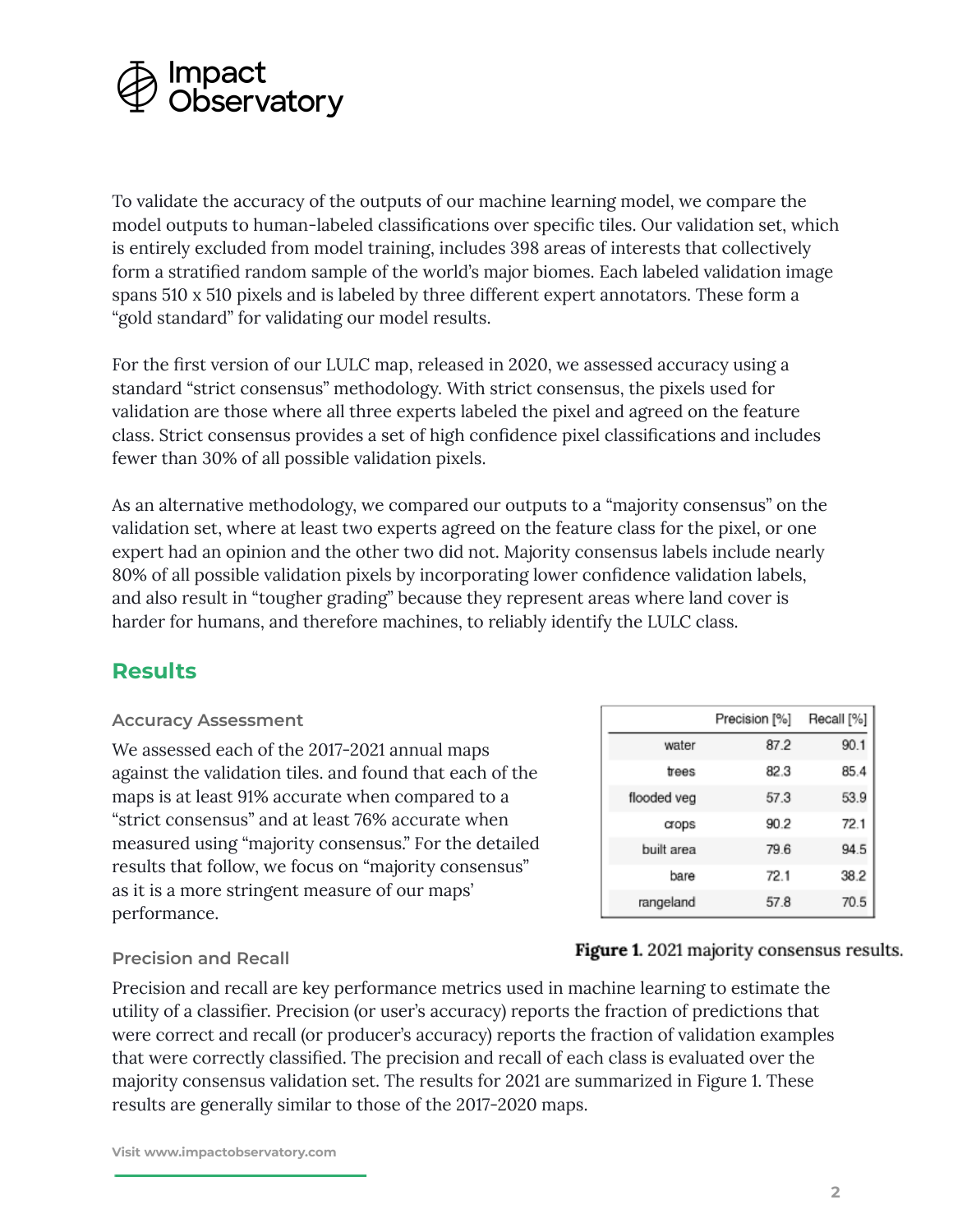

To validate the accuracy of the outputs of our machine learning model, we compare the model outputs to human-labeled classifications over specific tiles. Our validation set, which is entirely excluded from model training, includes 398 areas of interests that collectively form a stratified random sample of the world's major biomes. Each labeled validation image spans 510 x 510 pixels and is labeled by three different expert annotators. These form a "gold standard" for validating our model results.

For the first version of our LULC map, released in 2020, we assessed accuracy using a standard "strict consensus" methodology. With strict consensus, the pixels used for validation are those where all three experts labeled the pixel and agreed on the feature class. Strict consensus provides a set of high confidence pixel classifications and includes fewer than 30% of all possible validation pixels.

As an alternative methodology, we compared our outputs to a "majority consensus" on the validation set, where at least two experts agreed on the feature class for the pixel, or one expert had an opinion and the other two did not. Majority consensus labels include nearly 80% of all possible validation pixels by incorporating lower confidence validation labels, and also result in "tougher grading" because they represent areas where land cover is harder for humans, and therefore machines, to reliably identify the LULC class.

## **Results**

#### **Accuracy Assessment**

We assessed each of the 2017-2021 annual maps against the validation tiles. and found that each of the maps is at least 91% accurate when compared to a "strict consensus" and at least 76% accurate when measured using "majority consensus." For the detailed results that follow, we focus on "majority consensus" as it is a more stringent measure of our maps' performance.

|             | Precision [%] | Recall [%] |
|-------------|---------------|------------|
| water       | 87.2          | 90.1       |
| trees       | 82.3          | 85.4       |
| flooded veg | 57.3          | 53.9       |
| crops       | 90.2          | 72.1       |
| built area  | 796           | 94 5       |
| bare        | 72.1          | 38.2       |
| rangeland   | 57.8          | 70.5       |

#### **Precision and Recall**

Precision and recall are key performance metrics used in machine learning to estimate the utility of a classifier. Precision (or user's accuracy) reports the fraction of predictions that were correct and recall (or producer's accuracy) reports the fraction of validation examples that were correctly classified. The precision and recall of each class is evaluated over the majority consensus validation set. The results for 2021 are summarized in Figure 1. These results are generally similar to those of the 2017-2020 maps.

Figure 1. 2021 majority consensus results.